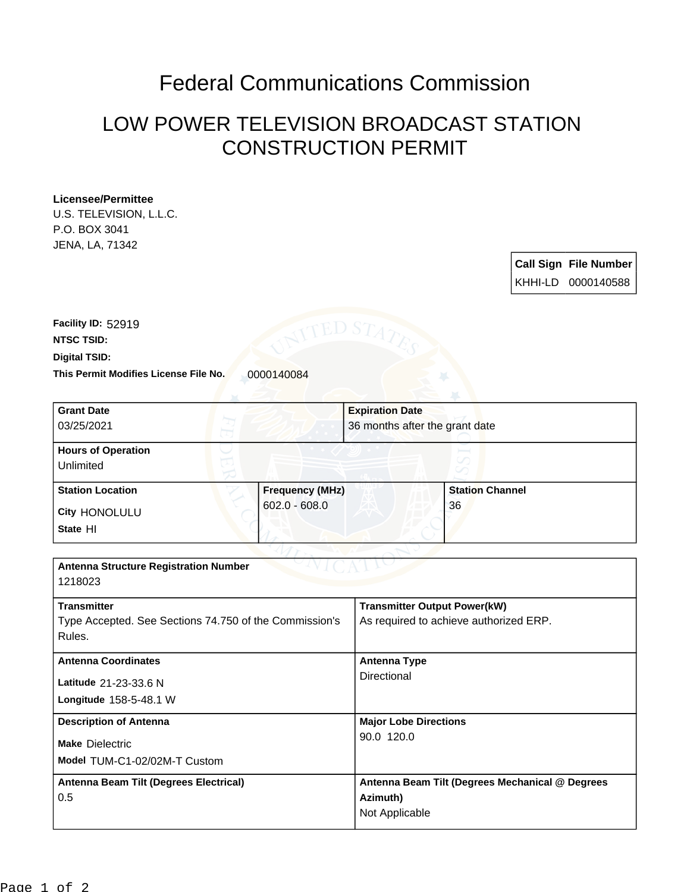## Federal Communications Commission

## LOW POWER TELEVISION BROADCAST STATION CONSTRUCTION PERMIT

## **Licensee/Permittee**

U.S. TELEVISION, L.L.C. P.O. BOX 3041 JENA, LA, 71342

| <b>Call Sign File Number</b> |
|------------------------------|
| KHHI-LD 0000140588           |

**This Permit Modifies License File No.** 0000140084 **Digital TSID: NTSC TSID: Facility ID:** 52919

| <b>Grant Date</b>                                      |                        | <b>Expiration Date</b>                 |                                                 |  |
|--------------------------------------------------------|------------------------|----------------------------------------|-------------------------------------------------|--|
| 03/25/2021                                             |                        | 36 months after the grant date         |                                                 |  |
| <b>Hours of Operation</b>                              |                        |                                        |                                                 |  |
| Unlimited                                              |                        |                                        |                                                 |  |
| <b>Station Location</b>                                | <b>Frequency (MHz)</b> |                                        | <b>Station Channel</b>                          |  |
| City HONOLULU                                          | $602.0 - 608.0$        |                                        | 36                                              |  |
| State HI                                               |                        |                                        |                                                 |  |
|                                                        |                        |                                        |                                                 |  |
| <b>Antenna Structure Registration Number</b>           |                        |                                        |                                                 |  |
| 1218023                                                |                        |                                        |                                                 |  |
| <b>Transmitter</b>                                     |                        | <b>Transmitter Output Power(kW)</b>    |                                                 |  |
| Type Accepted. See Sections 74.750 of the Commission's |                        | As required to achieve authorized ERP. |                                                 |  |
| Rules.                                                 |                        |                                        |                                                 |  |
| <b>Antenna Coordinates</b>                             |                        | <b>Antenna Type</b>                    |                                                 |  |
| Latitude 21-23-33.6 N                                  |                        | Directional                            |                                                 |  |
| Longitude 158-5-48.1 W                                 |                        |                                        |                                                 |  |
| <b>Description of Antenna</b>                          |                        | <b>Major Lobe Directions</b>           |                                                 |  |
| <b>Make Dielectric</b>                                 |                        | 90.0 120.0                             |                                                 |  |
| Model TUM-C1-02/02M-T Custom                           |                        |                                        |                                                 |  |
| Antenna Beam Tilt (Degrees Electrical)                 |                        |                                        | Antenna Beam Tilt (Degrees Mechanical @ Degrees |  |
| 0.5                                                    |                        | Azimuth)                               |                                                 |  |
|                                                        |                        | Not Applicable                         |                                                 |  |
|                                                        |                        |                                        |                                                 |  |